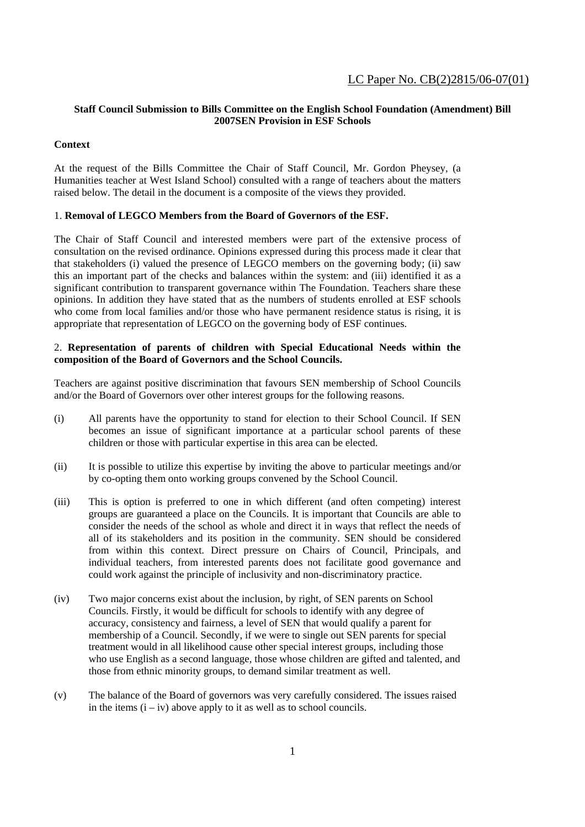## **Staff Council Submission to Bills Committee on the English School Foundation (Amendment) Bill 2007SEN Provision in ESF Schools**

# **Context**

At the request of the Bills Committee the Chair of Staff Council, Mr. Gordon Pheysey, (a Humanities teacher at West Island School) consulted with a range of teachers about the matters raised below. The detail in the document is a composite of the views they provided.

### 1. **Removal of LEGCO Members from the Board of Governors of the ESF.**

The Chair of Staff Council and interested members were part of the extensive process of consultation on the revised ordinance. Opinions expressed during this process made it clear that that stakeholders (i) valued the presence of LEGCO members on the governing body; (ii) saw this an important part of the checks and balances within the system: and (iii) identified it as a significant contribution to transparent governance within The Foundation. Teachers share these opinions. In addition they have stated that as the numbers of students enrolled at ESF schools who come from local families and/or those who have permanent residence status is rising, it is appropriate that representation of LEGCO on the governing body of ESF continues.

### 2. **Representation of parents of children with Special Educational Needs within the composition of the Board of Governors and the School Councils.**

Teachers are against positive discrimination that favours SEN membership of School Councils and/or the Board of Governors over other interest groups for the following reasons.

- (i) All parents have the opportunity to stand for election to their School Council. If SEN becomes an issue of significant importance at a particular school parents of these children or those with particular expertise in this area can be elected.
- (ii) It is possible to utilize this expertise by inviting the above to particular meetings and/or by co-opting them onto working groups convened by the School Council.
- (iii) This is option is preferred to one in which different (and often competing) interest groups are guaranteed a place on the Councils. It is important that Councils are able to consider the needs of the school as whole and direct it in ways that reflect the needs of all of its stakeholders and its position in the community. SEN should be considered from within this context. Direct pressure on Chairs of Council, Principals, and individual teachers, from interested parents does not facilitate good governance and could work against the principle of inclusivity and non-discriminatory practice.
- (iv) Two major concerns exist about the inclusion, by right, of SEN parents on School Councils. Firstly, it would be difficult for schools to identify with any degree of accuracy, consistency and fairness, a level of SEN that would qualify a parent for membership of a Council. Secondly, if we were to single out SEN parents for special treatment would in all likelihood cause other special interest groups, including those who use English as a second language, those whose children are gifted and talented, and those from ethnic minority groups, to demand similar treatment as well.
- (v) The balance of the Board of governors was very carefully considered. The issues raised in the items  $(i - iv)$  above apply to it as well as to school councils.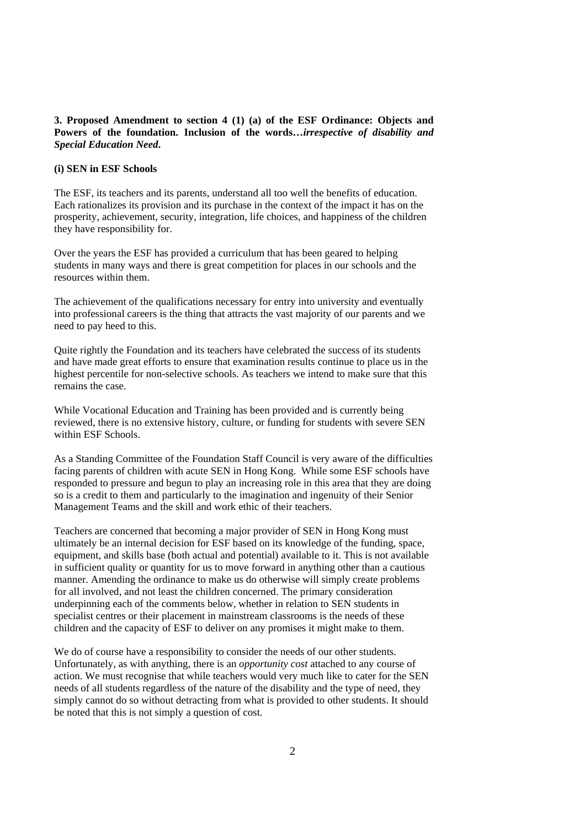## **3. Proposed Amendment to section 4 (1) (a) of the ESF Ordinance: Objects and Powers of the foundation. Inclusion of the words…***irrespective of disability and Special Education Need***.**

# **(i) SEN in ESF Schools**

The ESF, its teachers and its parents, understand all too well the benefits of education. Each rationalizes its provision and its purchase in the context of the impact it has on the prosperity, achievement, security, integration, life choices, and happiness of the children they have responsibility for.

Over the years the ESF has provided a curriculum that has been geared to helping students in many ways and there is great competition for places in our schools and the resources within them.

The achievement of the qualifications necessary for entry into university and eventually into professional careers is the thing that attracts the vast majority of our parents and we need to pay heed to this.

Quite rightly the Foundation and its teachers have celebrated the success of its students and have made great efforts to ensure that examination results continue to place us in the highest percentile for non-selective schools. As teachers we intend to make sure that this remains the case.

While Vocational Education and Training has been provided and is currently being reviewed, there is no extensive history, culture, or funding for students with severe SEN within ESF Schools.

As a Standing Committee of the Foundation Staff Council is very aware of the difficulties facing parents of children with acute SEN in Hong Kong. While some ESF schools have responded to pressure and begun to play an increasing role in this area that they are doing so is a credit to them and particularly to the imagination and ingenuity of their Senior Management Teams and the skill and work ethic of their teachers.

Teachers are concerned that becoming a major provider of SEN in Hong Kong must ultimately be an internal decision for ESF based on its knowledge of the funding, space, equipment, and skills base (both actual and potential) available to it. This is not available in sufficient quality or quantity for us to move forward in anything other than a cautious manner. Amending the ordinance to make us do otherwise will simply create problems for all involved, and not least the children concerned. The primary consideration underpinning each of the comments below, whether in relation to SEN students in specialist centres or their placement in mainstream classrooms is the needs of these children and the capacity of ESF to deliver on any promises it might make to them.

We do of course have a responsibility to consider the needs of our other students. Unfortunately, as with anything, there is an *opportunity cost* attached to any course of action. We must recognise that while teachers would very much like to cater for the SEN needs of all students regardless of the nature of the disability and the type of need, they simply cannot do so without detracting from what is provided to other students. It should be noted that this is not simply a question of cost.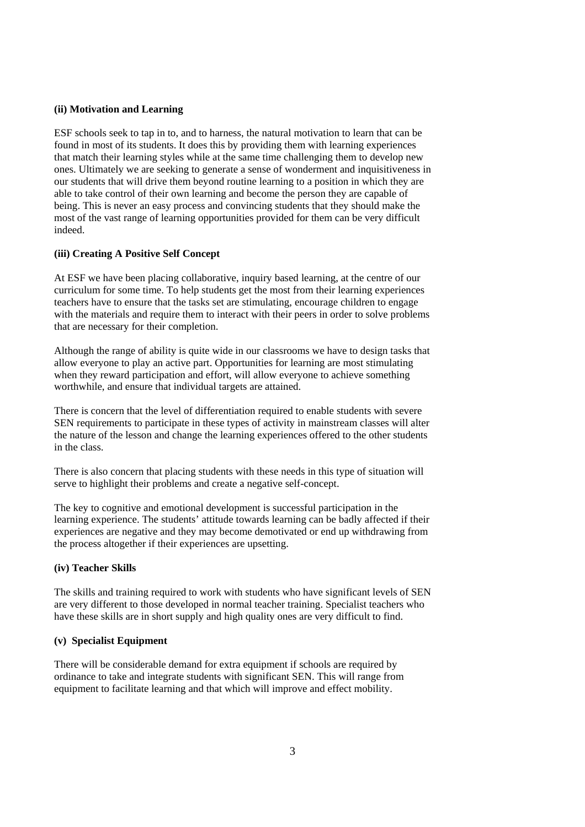### **(ii) Motivation and Learning**

ESF schools seek to tap in to, and to harness, the natural motivation to learn that can be found in most of its students. It does this by providing them with learning experiences that match their learning styles while at the same time challenging them to develop new ones. Ultimately we are seeking to generate a sense of wonderment and inquisitiveness in our students that will drive them beyond routine learning to a position in which they are able to take control of their own learning and become the person they are capable of being. This is never an easy process and convincing students that they should make the most of the vast range of learning opportunities provided for them can be very difficult indeed.

# **(iii) Creating A Positive Self Concept**

At ESF we have been placing collaborative, inquiry based learning, at the centre of our curriculum for some time. To help students get the most from their learning experiences teachers have to ensure that the tasks set are stimulating, encourage children to engage with the materials and require them to interact with their peers in order to solve problems that are necessary for their completion.

Although the range of ability is quite wide in our classrooms we have to design tasks that allow everyone to play an active part. Opportunities for learning are most stimulating when they reward participation and effort, will allow everyone to achieve something worthwhile, and ensure that individual targets are attained.

There is concern that the level of differentiation required to enable students with severe SEN requirements to participate in these types of activity in mainstream classes will alter the nature of the lesson and change the learning experiences offered to the other students in the class.

There is also concern that placing students with these needs in this type of situation will serve to highlight their problems and create a negative self-concept.

The key to cognitive and emotional development is successful participation in the learning experience. The students' attitude towards learning can be badly affected if their experiences are negative and they may become demotivated or end up withdrawing from the process altogether if their experiences are upsetting.

#### **(iv) Teacher Skills**

The skills and training required to work with students who have significant levels of SEN are very different to those developed in normal teacher training. Specialist teachers who have these skills are in short supply and high quality ones are very difficult to find.

# **(v) Specialist Equipment**

There will be considerable demand for extra equipment if schools are required by ordinance to take and integrate students with significant SEN. This will range from equipment to facilitate learning and that which will improve and effect mobility.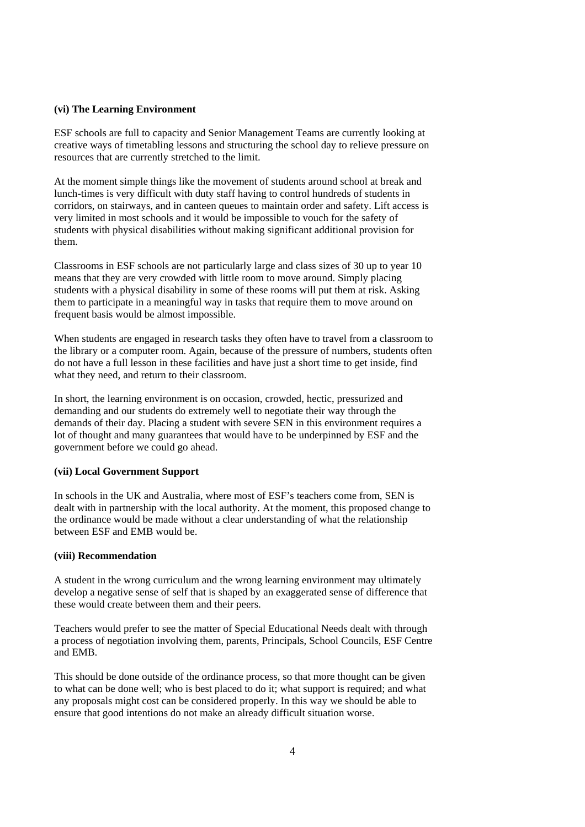## **(vi) The Learning Environment**

ESF schools are full to capacity and Senior Management Teams are currently looking at creative ways of timetabling lessons and structuring the school day to relieve pressure on resources that are currently stretched to the limit.

At the moment simple things like the movement of students around school at break and lunch-times is very difficult with duty staff having to control hundreds of students in corridors, on stairways, and in canteen queues to maintain order and safety. Lift access is very limited in most schools and it would be impossible to vouch for the safety of students with physical disabilities without making significant additional provision for them.

Classrooms in ESF schools are not particularly large and class sizes of 30 up to year 10 means that they are very crowded with little room to move around. Simply placing students with a physical disability in some of these rooms will put them at risk. Asking them to participate in a meaningful way in tasks that require them to move around on frequent basis would be almost impossible.

When students are engaged in research tasks they often have to travel from a classroom to the library or a computer room. Again, because of the pressure of numbers, students often do not have a full lesson in these facilities and have just a short time to get inside, find what they need, and return to their classroom.

In short, the learning environment is on occasion, crowded, hectic, pressurized and demanding and our students do extremely well to negotiate their way through the demands of their day. Placing a student with severe SEN in this environment requires a lot of thought and many guarantees that would have to be underpinned by ESF and the government before we could go ahead.

### **(vii) Local Government Support**

In schools in the UK and Australia, where most of ESF's teachers come from, SEN is dealt with in partnership with the local authority. At the moment, this proposed change to the ordinance would be made without a clear understanding of what the relationship between ESF and EMB would be.

### **(viii) Recommendation**

A student in the wrong curriculum and the wrong learning environment may ultimately develop a negative sense of self that is shaped by an exaggerated sense of difference that these would create between them and their peers.

Teachers would prefer to see the matter of Special Educational Needs dealt with through a process of negotiation involving them, parents, Principals, School Councils, ESF Centre and EMB.

This should be done outside of the ordinance process, so that more thought can be given to what can be done well; who is best placed to do it; what support is required; and what any proposals might cost can be considered properly. In this way we should be able to ensure that good intentions do not make an already difficult situation worse.